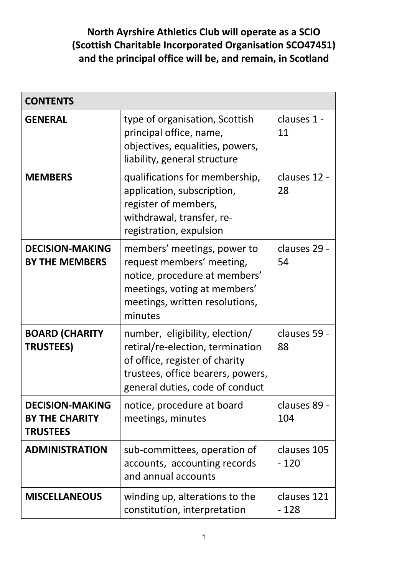# **North Ayrshire Athletics Club will operate as a SCIO (Scottish Charitable Incorporated Organisation SCO47451) and the principal office will be, and remain, in Scotland**

| <b>CONTENTS</b>                                                    |                                                                                                                                                                              |                       |
|--------------------------------------------------------------------|------------------------------------------------------------------------------------------------------------------------------------------------------------------------------|-----------------------|
| <b>GENERAL</b>                                                     | type of organisation, Scottish<br>principal office, name,<br>objectives, equalities, powers,<br>liability, general structure                                                 | clauses 1 -<br>11     |
| <b>MEMBERS</b>                                                     | qualifications for membership,<br>application, subscription,<br>register of members,<br>withdrawal, transfer, re-<br>registration, expulsion                                 | clauses 12 -<br>28    |
| <b>DECISION-MAKING</b><br><b>BY THE MEMBERS</b>                    | members' meetings, power to<br>request members' meeting,<br>notice, procedure at members'<br>meetings, voting at members'<br>meetings, written resolutions,<br>minutes       | clauses 29 -<br>54    |
| <b>BOARD (CHARITY</b><br><b>TRUSTEES)</b>                          | number, eligibility, election/<br>retiral/re-election, termination<br>of office, register of charity<br>trustees, office bearers, powers,<br>general duties, code of conduct | clauses 59 -<br>88    |
| <b>DECISION-MAKING</b><br><b>BY THE CHARITY</b><br><b>TRUSTEES</b> | notice, procedure at board<br>meetings, minutes                                                                                                                              | clauses 89 -<br>104   |
| <b>ADMINISTRATION</b>                                              | sub-committees, operation of<br>accounts, accounting records<br>and annual accounts                                                                                          | clauses 105<br>$-120$ |
| <b>MISCELLANEOUS</b>                                               | winding up, alterations to the<br>constitution, interpretation                                                                                                               | clauses 121<br>$-128$ |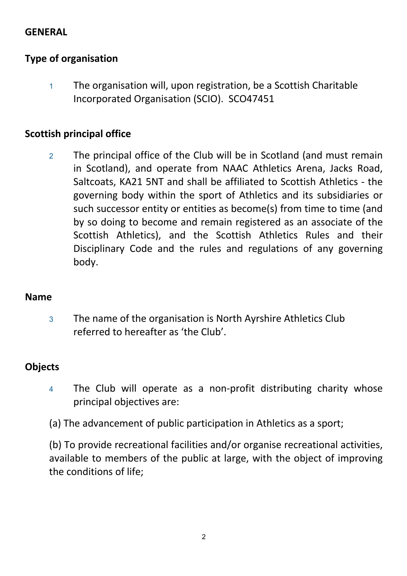## **GENERAL**

## **Type of organisation**

<sup>1</sup> The organisation will, upon registration, be a Scottish Charitable Incorporated Organisation (SCIO). SCO47451

### **Scottish principal office**

<sup>2</sup> The principal office of the Club will be in Scotland (and must remain in Scotland), and operate from NAAC Athletics Arena, Jacks Road, Saltcoats, KA21 5NT and shall be affiliated to Scottish Athletics - the governing body within the sport of Athletics and its subsidiaries or such successor entity or entities as become(s) from time to time (and by so doing to become and remain registered as an associate of the Scottish Athletics), and the Scottish Athletics Rules and their Disciplinary Code and the rules and regulations of any governing body.

### **Name**

<sup>3</sup> The name of the organisation is North Ayrshire Athletics Club referred to hereafter as 'the Club'.

# **Objects**

- <sup>4</sup> The Club will operate as a non-profit distributing charity whose principal objectives are:
- (a) The advancement of public participation in Athletics as a sport;

(b) To provide recreational facilities and/or organise recreational activities, available to members of the public at large, with the object of improving the conditions of life;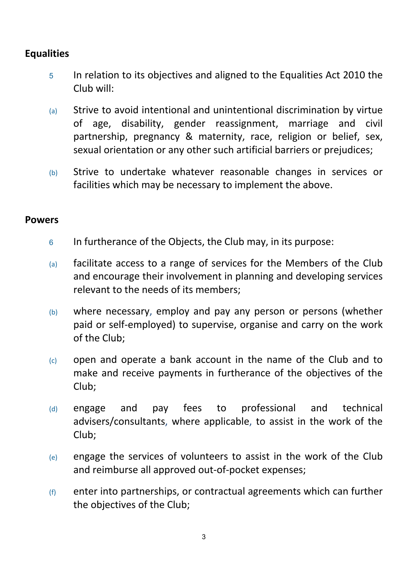# **Equalities**

- <sup>5</sup> In relation to its objectives and aligned to the Equalities Act 2010 the Club will:
- (a) Strive to avoid intentional and unintentional discrimination by virtue of age, disability, gender reassignment, marriage and civil partnership, pregnancy & maternity, race, religion or belief, sex, sexual orientation or any other such artificial barriers or prejudices;
- (b) Strive to undertake whatever reasonable changes in services or facilities which may be necessary to implement the above.

#### **Powers**

- <sup>6</sup> In furtherance of the Objects, the Club may, in its purpose:
- $(a)$  facilitate access to a range of services for the Members of the Club and encourage their involvement in planning and developing services relevant to the needs of its members;
- (b) where necessary, employ and pay any person or persons (whether paid or self-employed) to supervise, organise and carry on the work of the Club;
- $(c)$  open and operate a bank account in the name of the Club and to make and receive payments in furtherance of the objectives of the Club;
- (d) engage and pay fees to professional and technical advisers/consultants, where applicable, to assist in the work of the Club;
- $(e)$  engage the services of volunteers to assist in the work of the Club and reimburse all approved out-of-pocket expenses;
- (f) enter into partnerships, or contractual agreements which can further the objectives of the Club;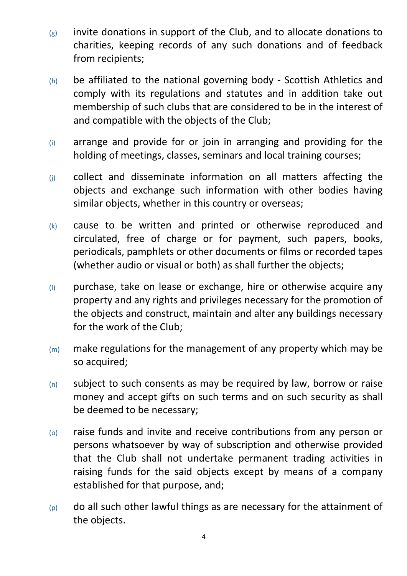- $(g)$  invite donations in support of the Club, and to allocate donations to charities, keeping records of any such donations and of feedback from recipients;
- (h) be affiliated to the national governing body Scottish Athletics and comply with its regulations and statutes and in addition take out membership of such clubs that are considered to be in the interest of and compatible with the objects of the Club;
- (i) arrange and provide for or join in arranging and providing for the holding of meetings, classes, seminars and local training courses;
- (j) collect and disseminate information on all matters affecting the objects and exchange such information with other bodies having similar objects, whether in this country or overseas;
- (k) cause to be written and printed or otherwise reproduced and circulated, free of charge or for payment, such papers, books, periodicals, pamphlets or other documents or films or recorded tapes (whether audio or visual or both) as shall further the objects;
- $(1)$  purchase, take on lease or exchange, hire or otherwise acquire any property and any rights and privileges necessary for the promotion of the objects and construct, maintain and alter any buildings necessary for the work of the Club;
- $(m)$  make regulations for the management of any property which may be so acquired;
- $(n)$  subject to such consents as may be required by law, borrow or raise money and accept gifts on such terms and on such security as shall be deemed to be necessary;
- (o) raise funds and invite and receive contributions from any person or persons whatsoever by way of subscription and otherwise provided that the Club shall not undertake permanent trading activities in raising funds for the said objects except by means of a company established for that purpose, and;
- $(p)$  do all such other lawful things as are necessary for the attainment of the objects.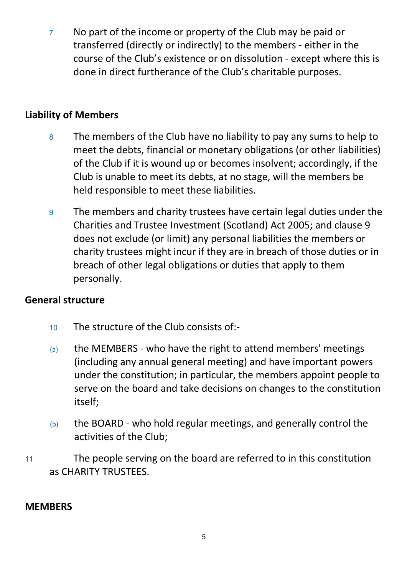<sup>7</sup> No part of the income or property of the Club may be paid or transferred (directly or indirectly) to the members - either in the course of the Club's existence or on dissolution - except where this is done in direct furtherance of the Club's charitable purposes.

## **Liability of Members**

- <sup>8</sup> The members of the Club have no liability to pay any sums to help to meet the debts, financial or monetary obligations (or other liabilities) of the Club if it is wound up or becomes insolvent; accordingly, if the Club is unable to meet its debts, at no stage, will the members be held responsible to meet these liabilities.
- <sup>9</sup> The members and charity trustees have certain legal duties under the Charities and Trustee Investment (Scotland) Act 2005; and clause 9 does not exclude (or limit) any personal liabilities the members or charity trustees might incur if they are in breach of those duties or in breach of other legal obligations or duties that apply to them personally.

## **General structure**

- <sup>10</sup> The structure of the Club consists of:-
- (a) the MEMBERS who have the right to attend members' meetings (including any annual general meeting) and have important powers under the constitution; in particular, the members appoint people to serve on the board and take decisions on changes to the constitution itself;
- $(b)$  the BOARD who hold regular meetings, and generally control the activities of the Club;
- <sup>11</sup> The people serving on the board are referred to in this constitution as CHARITY TRUSTEES.

### **MEMBERS**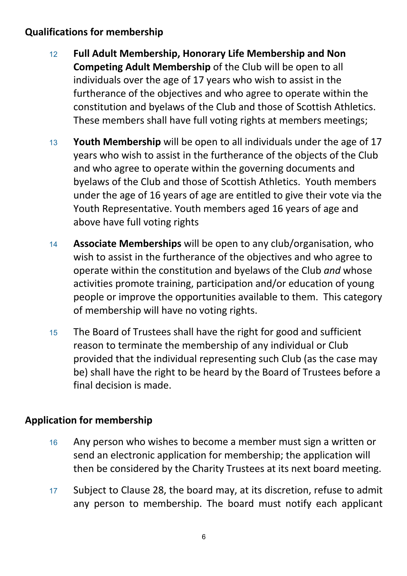# **Qualifications for membership**

- <sup>12</sup> **Full Adult Membership, Honorary Life Membership and Non Competing Adult Membership** of the Club will be open to all individuals over the age of 17 years who wish to assist in the furtherance of the objectives and who agree to operate within the constitution and byelaws of the Club and those of Scottish Athletics. These members shall have full voting rights at members meetings;
- <sup>13</sup> **Youth Membership** will be open to all individuals under the age of 17 years who wish to assist in the furtherance of the objects of the Club and who agree to operate within the governing documents and byelaws of the Club and those of Scottish Athletics. Youth members under the age of 16 years of age are entitled to give their vote via the Youth Representative. Youth members aged 16 years of age and above have full voting rights
- <sup>14</sup> **Associate Memberships** will be open to any club/organisation, who wish to assist in the furtherance of the objectives and who agree to operate within the constitution and byelaws of the Club *and* whose activities promote training, participation and/or education of young people or improve the opportunities available to them. This category of membership will have no voting rights.
- <sup>15</sup> The Board of Trustees shall have the right for good and sufficient reason to terminate the membership of any individual or Club provided that the individual representing such Club (as the case may be) shall have the right to be heard by the Board of Trustees before a final decision is made.

# **Application for membership**

- 16 Any person who wishes to become a member must sign a written or send an electronic application for membership; the application will then be considered by the Charity Trustees at its next board meeting.
- <sup>17</sup> Subject to Clause 28, the board may, at its discretion, refuse to admit any person to membership. The board must notify each applicant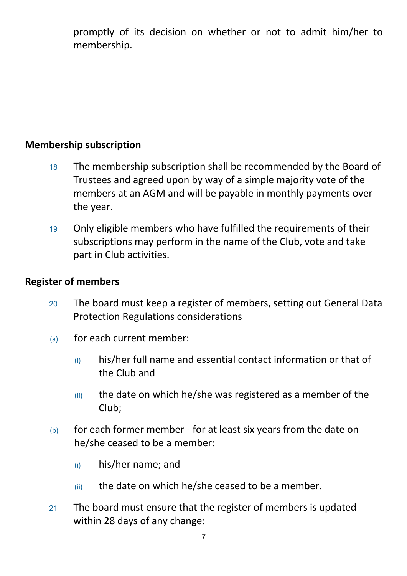promptly of its decision on whether or not to admit him/her to membership.

## **Membership subscription**

- <sup>18</sup> The membership subscription shall be recommended by the Board of Trustees and agreed upon by way of a simple majority vote of the members at an AGM and will be payable in monthly payments over the year.
- <sup>19</sup> Only eligible members who have fulfilled the requirements of their subscriptions may perform in the name of the Club, vote and take part in Club activities.

#### **Register of members**

- <sup>20</sup> The board must keep a register of members, setting out General Data Protection Regulations considerations
- (a) for each current member:
	- $(i)$  his/her full name and essential contact information or that of the Club and
	- $(iii)$  the date on which he/she was registered as a member of the Club;
- (b) for each former member for at least six years from the date on he/she ceased to be a member:
	- (i) his/her name; and
	- $(iii)$  the date on which he/she ceased to be a member.
- <sup>21</sup> The board must ensure that the register of members is updated within 28 days of any change: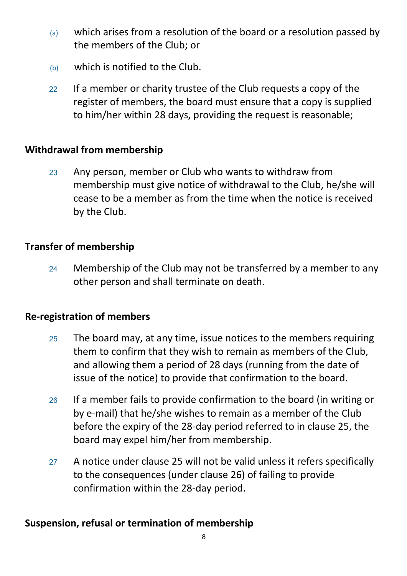- $(a)$  which arises from a resolution of the board or a resolution passed by the members of the Club; or
- (b) which is notified to the Club.
- 22 If a member or charity trustee of the Club requests a copy of the register of members, the board must ensure that a copy is supplied to him/her within 28 days, providing the request is reasonable;

# **Withdrawal from membership**

<sup>23</sup> Any person, member or Club who wants to withdraw from membership must give notice of withdrawal to the Club, he/she will cease to be a member as from the time when the notice is received by the Club.

# **Transfer of membership**

24 Membership of the Club may not be transferred by a member to any other person and shall terminate on death.

## **Re-registration of members**

- <sup>25</sup> The board may, at any time, issue notices to the members requiring them to confirm that they wish to remain as members of the Club, and allowing them a period of 28 days (running from the date of issue of the notice) to provide that confirmation to the board.
- <sup>26</sup> If a member fails to provide confirmation to the board (in writing or by e-mail) that he/she wishes to remain as a member of the Club before the expiry of the 28-day period referred to in clause 25, the board may expel him/her from membership.
- <sup>27</sup> A notice under clause 25 will not be valid unless it refers specifically to the consequences (under clause 26) of failing to provide confirmation within the 28-day period.

# **Suspension, refusal or termination of membership**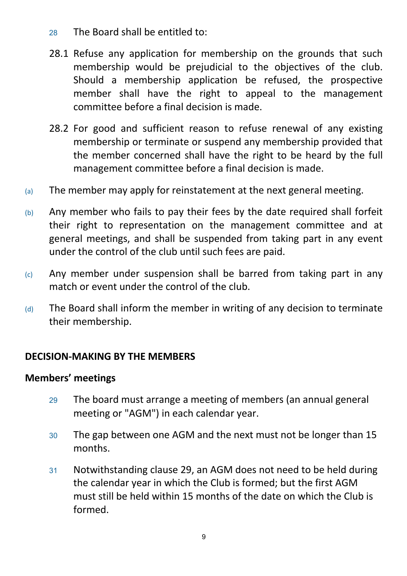- <sup>28</sup> The Board shall be entitled to:
- 28.1 Refuse any application for membership on the grounds that such membership would be prejudicial to the objectives of the club. Should a membership application be refused, the prospective member shall have the right to appeal to the management committee before a final decision is made.
- 28.2 For good and sufficient reason to refuse renewal of any existing membership or terminate or suspend any membership provided that the member concerned shall have the right to be heard by the full management committee before a final decision is made.
- (a) The member may apply for reinstatement at the next general meeting.
- $(b)$  Any member who fails to pay their fees by the date required shall forfeit their right to representation on the management committee and at general meetings, and shall be suspended from taking part in any event under the control of the club until such fees are paid.
- $(c)$  Any member under suspension shall be barred from taking part in any match or event under the control of the club.
- $(d)$  The Board shall inform the member in writing of any decision to terminate their membership.

# **DECISION-MAKING BY THE MEMBERS**

## **Members' meetings**

- <sup>29</sup> The board must arrange a meeting of members (an annual general meeting or "AGM") in each calendar year.
- <sup>30</sup> The gap between one AGM and the next must not be longer than 15 months.
- <sup>31</sup> Notwithstanding clause 29, an AGM does not need to be held during the calendar year in which the Club is formed; but the first AGM must still be held within 15 months of the date on which the Club is formed.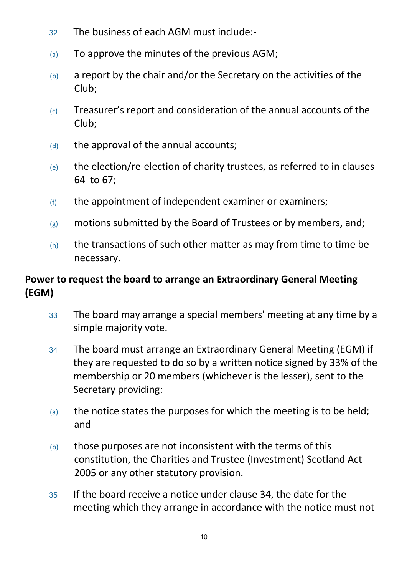- <sup>32</sup> The business of each AGM must include:-
- (a) To approve the minutes of the previous AGM;
- $(b)$  a report by the chair and/or the Secretary on the activities of the Club;
- (c) Treasurer's report and consideration of the annual accounts of the Club;
- $(d)$  the approval of the annual accounts;
- $(e)$  the election/re-election of charity trustees, as referred to in clauses 64 to 67;
- $(f)$  the appointment of independent examiner or examiners;
- $(g)$  motions submitted by the Board of Trustees or by members, and;
- $(h)$  the transactions of such other matter as may from time to time be necessary.

# **Power to request the board to arrange an Extraordinary General Meeting (EGM)**

- <sup>33</sup> The board may arrange a special members' meeting at any time by a simple majority vote.
- <sup>34</sup> The board must arrange an Extraordinary General Meeting (EGM) if they are requested to do so by a written notice signed by 33% of the membership or 20 members (whichever is the lesser), sent to the Secretary providing:
- $(a)$  the notice states the purposes for which the meeting is to be held; and
- $(b)$  those purposes are not inconsistent with the terms of this constitution, the Charities and Trustee (Investment) Scotland Act 2005 or any other statutory provision.
- <sup>35</sup> If the board receive a notice under clause 34, the date for the meeting which they arrange in accordance with the notice must not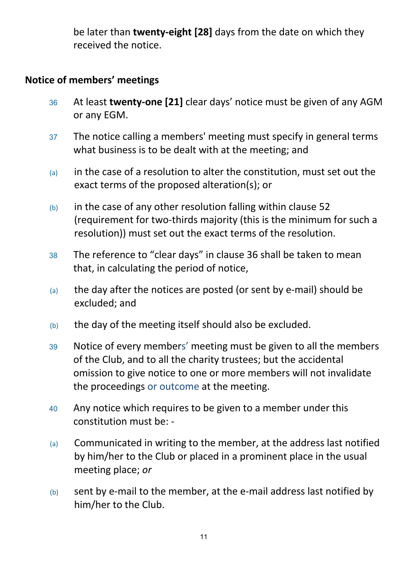be later than **twenty-eight [28]** days from the date on which they received the notice.

# **Notice of members' meetings**

- <sup>36</sup> At least **twenty-one [21]** clear days' notice must be given of any AGM or any EGM.
- <sup>37</sup> The notice calling a members' meeting must specify in general terms what business is to be dealt with at the meeting; and
- $(a)$  in the case of a resolution to alter the constitution, must set out the exact terms of the proposed alteration(s); or
- $(b)$  in the case of any other resolution falling within clause 52 (requirement for two-thirds majority (this is the minimum for such a resolution)) must set out the exact terms of the resolution.
- <sup>38</sup> The reference to "clear days" in clause 36 shall be taken to mean that, in calculating the period of notice,
- $(a)$  the day after the notices are posted (or sent by e-mail) should be excluded; and
- (b) the day of the meeting itself should also be excluded.
- <sup>39</sup> Notice of every members' meeting must be given to all the members of the Club, and to all the charity trustees; but the accidental omission to give notice to one or more members will not invalidate the proceedings or outcome at the meeting.
- <sup>40</sup> Any notice which requires to be given to a member under this constitution must be: -
- (a) Communicated in writing to the member, at the address last notified by him/her to the Club or placed in a prominent place in the usual meeting place; *or*
- (b) sent by e-mail to the member, at the e-mail address last notified by him/her to the Club.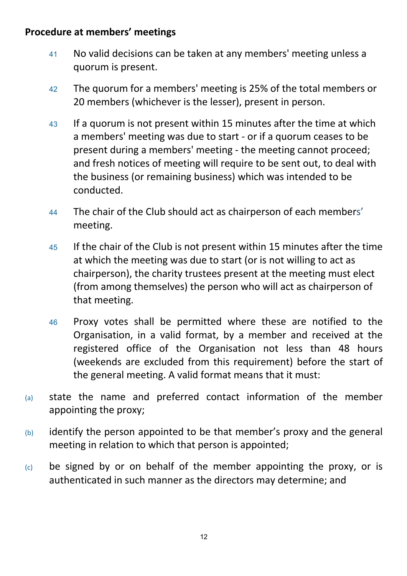## **Procedure at members' meetings**

- <sup>41</sup> No valid decisions can be taken at any members' meeting unless a quorum is present.
- <sup>42</sup> The quorum for a members' meeting is 25% of the total members or 20 members (whichever is the lesser), present in person.
- <sup>43</sup> If a quorum is not present within 15 minutes after the time at which a members' meeting was due to start - or if a quorum ceases to be present during a members' meeting - the meeting cannot proceed; and fresh notices of meeting will require to be sent out, to deal with the business (or remaining business) which was intended to be conducted.
- <sup>44</sup> The chair of the Club should act as chairperson of each members' meeting.
- <sup>45</sup> If the chair of the Club is not present within 15 minutes after the time at which the meeting was due to start (or is not willing to act as chairperson), the charity trustees present at the meeting must elect (from among themselves) the person who will act as chairperson of that meeting.
- <sup>46</sup> Proxy votes shall be permitted where these are notified to the Organisation, in a valid format, by a member and received at the registered office of the Organisation not less than 48 hours (weekends are excluded from this requirement) before the start of the general meeting. A valid format means that it must:
- (a) state the name and preferred contact information of the member appointing the proxy;
- $(b)$  identify the person appointed to be that member's proxy and the general meeting in relation to which that person is appointed;
- $(c)$  be signed by or on behalf of the member appointing the proxy, or is authenticated in such manner as the directors may determine; and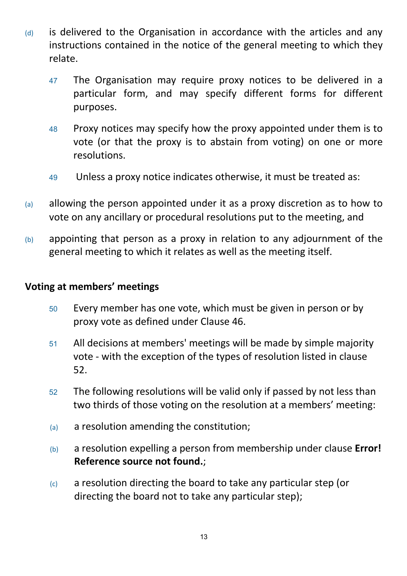- $(d)$  is delivered to the Organisation in accordance with the articles and any instructions contained in the notice of the general meeting to which they relate.
	- <sup>47</sup> The Organisation may require proxy notices to be delivered in a particular form, and may specify different forms for different purposes.
	- <sup>48</sup> Proxy notices may specify how the proxy appointed under them is to vote (or that the proxy is to abstain from voting) on one or more resolutions.
	- <sup>49</sup> Unless a proxy notice indicates otherwise, it must be treated as:
- (a) allowing the person appointed under it as a proxy discretion as to how to vote on any ancillary or procedural resolutions put to the meeting, and
- (b) appointing that person as a proxy in relation to any adjournment of the general meeting to which it relates as well as the meeting itself.

#### **Voting at members' meetings**

- <sup>50</sup> Every member has one vote, which must be given in person or by proxy vote as defined under Clause 46.
- <sup>51</sup> All decisions at members' meetings will be made by simple majority vote - with the exception of the types of resolution listed in clause 52.
- <sup>52</sup> The following resolutions will be valid only if passed by not less than two thirds of those voting on the resolution at a members' meeting:
- (a) a resolution amending the constitution;
- (b) a resolution expelling a person from membership under clause **Error! Reference source not found.**;
- (c) a resolution directing the board to take any particular step (or directing the board not to take any particular step);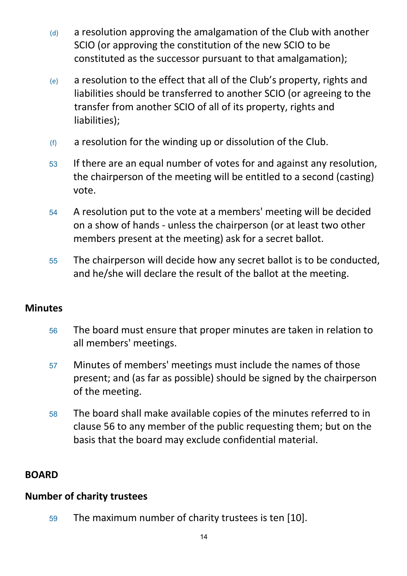- $(d)$  a resolution approving the amalgamation of the Club with another SCIO (or approving the constitution of the new SCIO to be constituted as the successor pursuant to that amalgamation);
- (e) a resolution to the effect that all of the Club's property, rights and liabilities should be transferred to another SCIO (or agreeing to the transfer from another SCIO of all of its property, rights and liabilities);
- $(f)$  a resolution for the winding up or dissolution of the Club.
- <sup>53</sup> If there are an equal number of votes for and against any resolution, the chairperson of the meeting will be entitled to a second (casting) vote.
- <sup>54</sup> A resolution put to the vote at a members' meeting will be decided on a show of hands - unless the chairperson (or at least two other members present at the meeting) ask for a secret ballot.
- <sup>55</sup> The chairperson will decide how any secret ballot is to be conducted, and he/she will declare the result of the ballot at the meeting.

# **Minutes**

- <sup>56</sup> The board must ensure that proper minutes are taken in relation to all members' meetings.
- <sup>57</sup> Minutes of members' meetings must include the names of those present; and (as far as possible) should be signed by the chairperson of the meeting.
- <sup>58</sup> The board shall make available copies of the minutes referred to in clause 56 to any member of the public requesting them; but on the basis that the board may exclude confidential material.

# **BOARD**

# **Number of charity trustees**

<sup>59</sup> The maximum number of charity trustees is ten [10].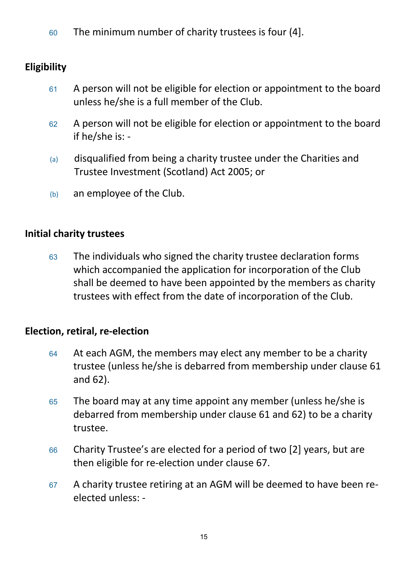<sup>60</sup> The minimum number of charity trustees is four (4].

# **Eligibility**

- <sup>61</sup> A person will not be eligible for election or appointment to the board unless he/she is a full member of the Club.
- <sup>62</sup> A person will not be eligible for election or appointment to the board if he/she is: -
- (a) disqualified from being a charity trustee under the Charities and Trustee Investment (Scotland) Act 2005; or
- (b) an employee of the Club.

# **Initial charity trustees**

<sup>63</sup> The individuals who signed the charity trustee declaration forms which accompanied the application for incorporation of the Club shall be deemed to have been appointed by the members as charity trustees with effect from the date of incorporation of the Club.

## **Election, retiral, re-election**

- 64 At each AGM, the members may elect any member to be a charity trustee (unless he/she is debarred from membership under clause 61 and 62).
- <sup>65</sup> The board may at any time appoint any member (unless he/she is debarred from membership under clause 61 and 62) to be a charity trustee.
- <sup>66</sup> Charity Trustee's are elected for a period of two [2] years, but are then eligible for re-election under clause 67.
- <sup>67</sup> A charity trustee retiring at an AGM will be deemed to have been reelected unless: -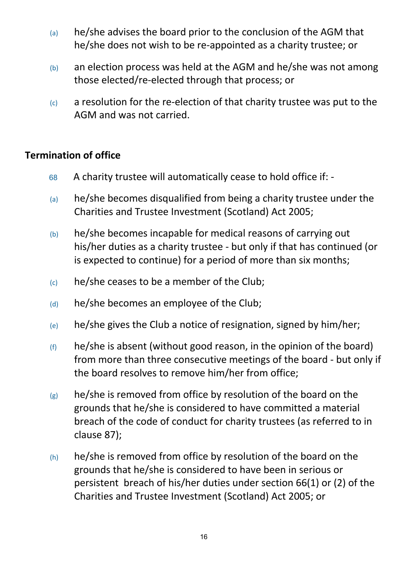- (a) he/she advises the board prior to the conclusion of the AGM that he/she does not wish to be re-appointed as a charity trustee; or
- $(b)$  an election process was held at the AGM and he/she was not among those elected/re-elected through that process; or
- $(c)$  a resolution for the re-election of that charity trustee was put to the AGM and was not carried.

## **Termination of office**

- <sup>68</sup> A charity trustee will automatically cease to hold office if: -
- $(a)$  he/she becomes disqualified from being a charity trustee under the Charities and Trustee Investment (Scotland) Act 2005;
- (b) he/she becomes incapable for medical reasons of carrying out his/her duties as a charity trustee - but only if that has continued (or is expected to continue) for a period of more than six months;
- $(c)$  he/she ceases to be a member of the Club;
- $(d)$  he/she becomes an employee of the Club;
- $(e)$  he/she gives the Club a notice of resignation, signed by him/her;
- $(f)$  he/she is absent (without good reason, in the opinion of the board) from more than three consecutive meetings of the board - but only if the board resolves to remove him/her from office;
- $(g)$  he/she is removed from office by resolution of the board on the grounds that he/she is considered to have committed a material breach of the code of conduct for charity trustees (as referred to in clause 87);
- $(h)$  he/she is removed from office by resolution of the board on the grounds that he/she is considered to have been in serious or persistent breach of his/her duties under section 66(1) or (2) of the Charities and Trustee Investment (Scotland) Act 2005; or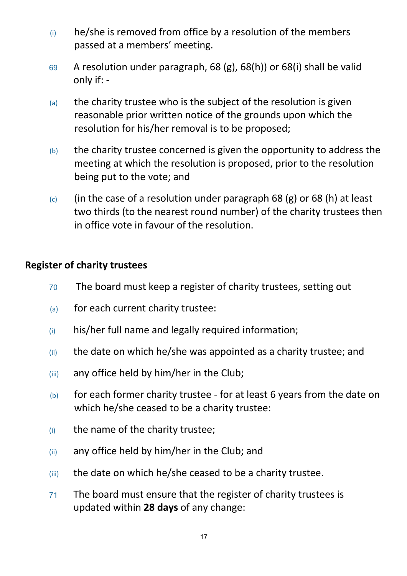- $(i)$  he/she is removed from office by a resolution of the members passed at a members' meeting.
- <sup>69</sup> A resolution under paragraph, 68 (g), 68(h)) or 68(i) shall be valid only if: -
- $(a)$  the charity trustee who is the subject of the resolution is given reasonable prior written notice of the grounds upon which the resolution for his/her removal is to be proposed;
- $(b)$  the charity trustee concerned is given the opportunity to address the meeting at which the resolution is proposed, prior to the resolution being put to the vote; and
- $(c)$  (in the case of a resolution under paragraph 68 (g) or 68 (h) at least two thirds (to the nearest round number) of the charity trustees then in office vote in favour of the resolution.

### **Register of charity trustees**

- <sup>70</sup> The board must keep a register of charity trustees, setting out
- (a) for each current charity trustee:
- (i) his/her full name and legally required information;
- $(iii)$  the date on which he/she was appointed as a charity trustee; and
- (iii) any office held by him/her in the Club;
- (b) for each former charity trustee for at least 6 years from the date on which he/she ceased to be a charity trustee:
- (i) the name of the charity trustee;
- (ii) any office held by him/her in the Club; and
- (iii) the date on which he/she ceased to be a charity trustee.
- <sup>71</sup> The board must ensure that the register of charity trustees is updated within **28 days** of any change: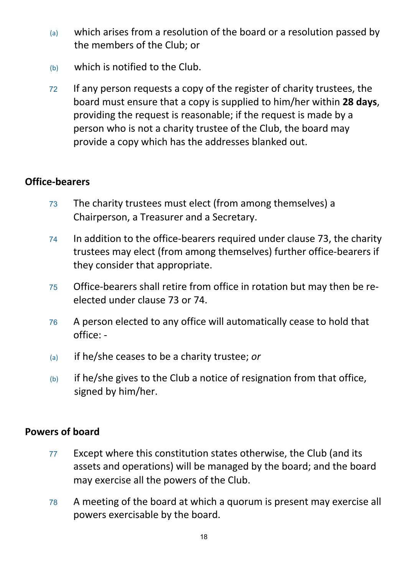- (a) which arises from a resolution of the board or a resolution passed by the members of the Club; or
- (b) which is notified to the Club.
- <sup>72</sup> If any person requests a copy of the register of charity trustees, the board must ensure that a copy is supplied to him/her within **28 days**, providing the request is reasonable; if the request is made by a person who is not a charity trustee of the Club, the board may provide a copy which has the addresses blanked out.

## **Office-bearers**

- <sup>73</sup> The charity trustees must elect (from among themselves) a Chairperson, a Treasurer and a Secretary.
- <sup>74</sup> In addition to the office-bearers required under clause 73, the charity trustees may elect (from among themselves) further office-bearers if they consider that appropriate.
- <sup>75</sup> Office-bearers shall retire from office in rotation but may then be reelected under clause 73 or 74.
- <sup>76</sup> A person elected to any office will automatically cease to hold that office: -
- (a) if he/she ceases to be a charity trustee; *or*
- $(b)$  if he/she gives to the Club a notice of resignation from that office, signed by him/her.

### **Powers of board**

- <sup>77</sup> Except where this constitution states otherwise, the Club (and its assets and operations) will be managed by the board; and the board may exercise all the powers of the Club.
- <sup>78</sup> A meeting of the board at which a quorum is present may exercise all powers exercisable by the board.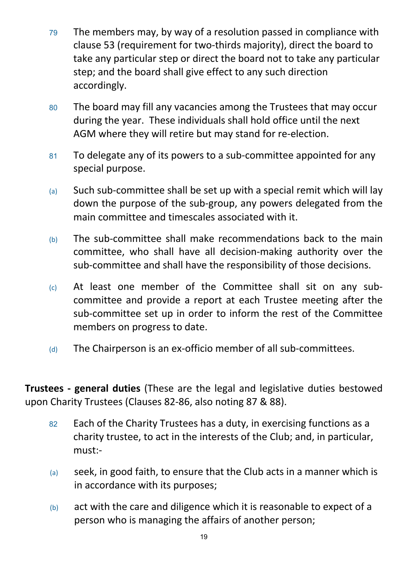- <sup>79</sup> The members may, by way of a resolution passed in compliance with clause 53 (requirement for two-thirds majority), direct the board to take any particular step or direct the board not to take any particular step; and the board shall give effect to any such direction accordingly.
- <sup>80</sup> The board may fill any vacancies among the Trustees that may occur during the year. These individuals shall hold office until the next AGM where they will retire but may stand for re-election.
- 81 To delegate any of its powers to a sub-committee appointed for any special purpose.
- $(a)$  Such sub-committee shall be set up with a special remit which will lay down the purpose of the sub-group, any powers delegated from the main committee and timescales associated with it.
- $(b)$  The sub-committee shall make recommendations back to the main committee, who shall have all decision-making authority over the sub-committee and shall have the responsibility of those decisions.
- $(c)$  At least one member of the Committee shall sit on any subcommittee and provide a report at each Trustee meeting after the sub-committee set up in order to inform the rest of the Committee members on progress to date.
- $(d)$  The Chairperson is an ex-officio member of all sub-committees.

**Trustees - general duties** (These are the legal and legislative duties bestowed upon Charity Trustees (Clauses 82-86, also noting 87 & 88).

- 82 Each of the Charity Trustees has a duty, in exercising functions as a charity trustee, to act in the interests of the Club; and, in particular, must:-
- (a) seek, in good faith, to ensure that the Club acts in a manner which is in accordance with its purposes;
- (b) act with the care and diligence which it is reasonable to expect of a person who is managing the affairs of another person;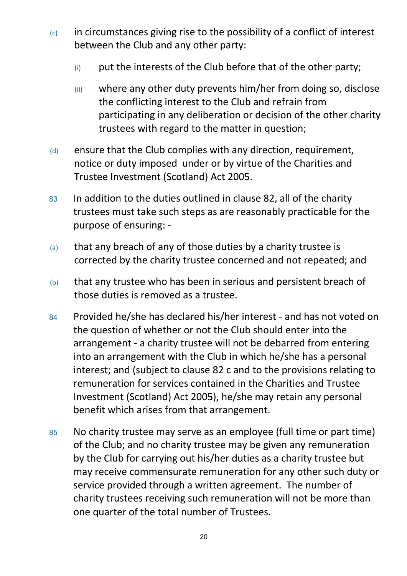- $(c)$  in circumstances giving rise to the possibility of a conflict of interest between the Club and any other party:
	- $(i)$  put the interests of the Club before that of the other party;
	- (ii) where any other duty prevents him/her from doing so, disclose the conflicting interest to the Club and refrain from participating in any deliberation or decision of the other charity trustees with regard to the matter in question;
- $(d)$  ensure that the Club complies with any direction, requirement, notice or duty imposed under or by virtue of the Charities and Trustee Investment (Scotland) Act 2005.
- 83 In addition to the duties outlined in clause 82, all of the charity trustees must take such steps as are reasonably practicable for the purpose of ensuring: -
- (a) that any breach of any of those duties by a charity trustee is corrected by the charity trustee concerned and not repeated; and
- (b) that any trustee who has been in serious and persistent breach of those duties is removed as a trustee.
- <sup>84</sup> Provided he/she has declared his/her interest and has not voted on the question of whether or not the Club should enter into the arrangement - a charity trustee will not be debarred from entering into an arrangement with the Club in which he/she has a personal interest; and (subject to clause 82 c and to the provisions relating to remuneration for services contained in the Charities and Trustee Investment (Scotland) Act 2005), he/she may retain any personal benefit which arises from that arrangement.
- <sup>85</sup> No charity trustee may serve as an employee (full time or part time) of the Club; and no charity trustee may be given any remuneration by the Club for carrying out his/her duties as a charity trustee but may receive commensurate remuneration for any other such duty or service provided through a written agreement. The number of charity trustees receiving such remuneration will not be more than one quarter of the total number of Trustees.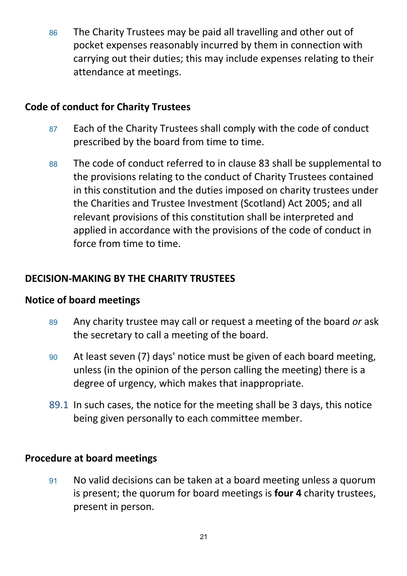86 The Charity Trustees may be paid all travelling and other out of pocket expenses reasonably incurred by them in connection with carrying out their duties; this may include expenses relating to their attendance at meetings.

## **Code of conduct for Charity Trustees**

- 87 Each of the Charity Trustees shall comply with the code of conduct prescribed by the board from time to time.
- <sup>88</sup> The code of conduct referred to in clause 83 shall be supplemental to the provisions relating to the conduct of Charity Trustees contained in this constitution and the duties imposed on charity trustees under the Charities and Trustee Investment (Scotland) Act 2005; and all relevant provisions of this constitution shall be interpreted and applied in accordance with the provisions of the code of conduct in force from time to time.

# **DECISION-MAKING BY THE CHARITY TRUSTEES**

### **Notice of board meetings**

- <sup>89</sup> Any charity trustee may call or request a meeting of the board *or* ask the secretary to call a meeting of the board.
- <sup>90</sup> At least seven (7) days' notice must be given of each board meeting, unless (in the opinion of the person calling the meeting) there is a degree of urgency, which makes that inappropriate.
- 89.1 In such cases, the notice for the meeting shall be 3 days, this notice being given personally to each committee member.

## **Procedure at board meetings**

<sup>91</sup> No valid decisions can be taken at a board meeting unless a quorum is present; the quorum for board meetings is **four 4** charity trustees, present in person.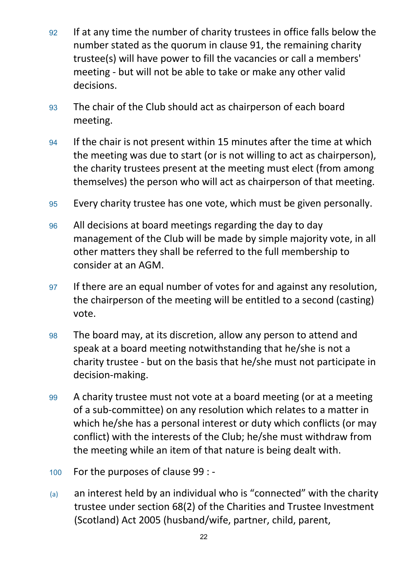- <sup>92</sup> If at any time the number of charity trustees in office falls below the number stated as the quorum in clause 91, the remaining charity trustee(s) will have power to fill the vacancies or call a members' meeting - but will not be able to take or make any other valid decisions.
- <sup>93</sup> The chair of the Club should act as chairperson of each board meeting.
- 94 If the chair is not present within 15 minutes after the time at which the meeting was due to start (or is not willing to act as chairperson), the charity trustees present at the meeting must elect (from among themselves) the person who will act as chairperson of that meeting.
- <sup>95</sup> Every charity trustee has one vote, which must be given personally.
- <sup>96</sup> All decisions at board meetings regarding the day to day management of the Club will be made by simple majority vote, in all other matters they shall be referred to the full membership to consider at an AGM.
- <sup>97</sup> If there are an equal number of votes for and against any resolution, the chairperson of the meeting will be entitled to a second (casting) vote.
- <sup>98</sup> The board may, at its discretion, allow any person to attend and speak at a board meeting notwithstanding that he/she is not a charity trustee - but on the basis that he/she must not participate in decision-making.
- <sup>99</sup> A charity trustee must not vote at a board meeting (or at a meeting of a sub-committee) on any resolution which relates to a matter in which he/she has a personal interest or duty which conflicts (or may conflict) with the interests of the Club; he/she must withdraw from the meeting while an item of that nature is being dealt with.
- <sup>100</sup> For the purposes of clause 99 : -
- (a) an interest held by an individual who is "connected" with the charity trustee under section 68(2) of the Charities and Trustee Investment (Scotland) Act 2005 (husband/wife, partner, child, parent,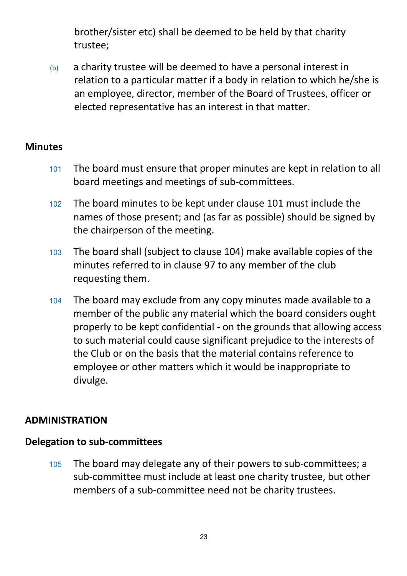brother/sister etc) shall be deemed to be held by that charity trustee;

(b) a charity trustee will be deemed to have a personal interest in relation to a particular matter if a body in relation to which he/she is an employee, director, member of the Board of Trustees, officer or elected representative has an interest in that matter.

### **Minutes**

- <sup>101</sup> The board must ensure that proper minutes are kept in relation to all board meetings and meetings of sub-committees.
- <sup>102</sup> The board minutes to be kept under clause 101 must include the names of those present; and (as far as possible) should be signed by the chairperson of the meeting.
- <sup>103</sup> The board shall (subject to clause 104) make available copies of the minutes referred to in clause 97 to any member of the club requesting them.
- <sup>104</sup> The board may exclude from any copy minutes made available to a member of the public any material which the board considers ought properly to be kept confidential - on the grounds that allowing access to such material could cause significant prejudice to the interests of the Club or on the basis that the material contains reference to employee or other matters which it would be inappropriate to divulge.

## **ADMINISTRATION**

## **Delegation to sub-committees**

<sup>105</sup> The board may delegate any of their powers to sub-committees; a sub-committee must include at least one charity trustee, but other members of a sub-committee need not be charity trustees.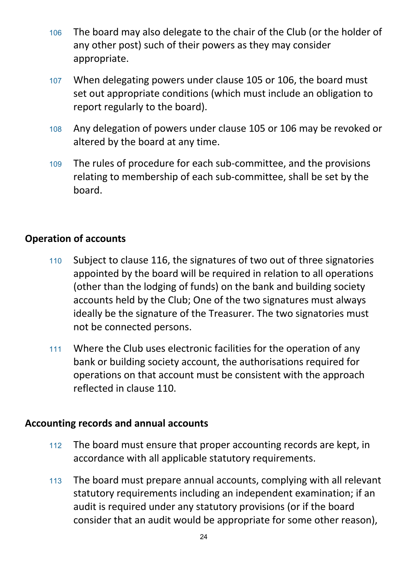- <sup>106</sup> The board may also delegate to the chair of the Club (or the holder of any other post) such of their powers as they may consider appropriate.
- <sup>107</sup> When delegating powers under clause 105 or 106, the board must set out appropriate conditions (which must include an obligation to report regularly to the board).
- <sup>108</sup> Any delegation of powers under clause 105 or 106 may be revoked or altered by the board at any time.
- <sup>109</sup> The rules of procedure for each sub-committee, and the provisions relating to membership of each sub-committee, shall be set by the board.

## **Operation of accounts**

- <sup>110</sup> Subject to clause 116, the signatures of two out of three signatories appointed by the board will be required in relation to all operations (other than the lodging of funds) on the bank and building society accounts held by the Club; One of the two signatures must always ideally be the signature of the Treasurer. The two signatories must not be connected persons.
- <sup>111</sup> Where the Club uses electronic facilities for the operation of any bank or building society account, the authorisations required for operations on that account must be consistent with the approach reflected in clause 110.

### **Accounting records and annual accounts**

- <sup>112</sup> The board must ensure that proper accounting records are kept, in accordance with all applicable statutory requirements.
- <sup>113</sup> The board must prepare annual accounts, complying with all relevant statutory requirements including an independent examination; if an audit is required under any statutory provisions (or if the board consider that an audit would be appropriate for some other reason),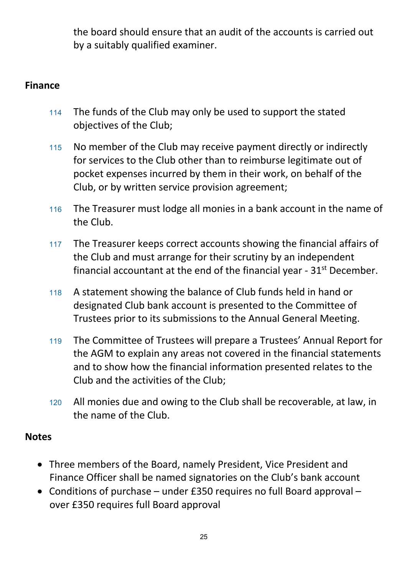the board should ensure that an audit of the accounts is carried out by a suitably qualified examiner.

## **Finance**

- <sup>114</sup> The funds of the Club may only be used to support the stated objectives of the Club;
- <sup>115</sup> No member of the Club may receive payment directly or indirectly for services to the Club other than to reimburse legitimate out of pocket expenses incurred by them in their work, on behalf of the Club, or by written service provision agreement;
- <sup>116</sup> The Treasurer must lodge all monies in a bank account in the name of the Club.
- <sup>117</sup> The Treasurer keeps correct accounts showing the financial affairs of the Club and must arrange for their scrutiny by an independent financial accountant at the end of the financial year -  $31<sup>st</sup>$  December.
- <sup>118</sup> A statement showing the balance of Club funds held in hand or designated Club bank account is presented to the Committee of Trustees prior to its submissions to the Annual General Meeting.
- <sup>119</sup> The Committee of Trustees will prepare a Trustees' Annual Report for the AGM to explain any areas not covered in the financial statements and to show how the financial information presented relates to the Club and the activities of the Club;
- <sup>120</sup> All monies due and owing to the Club shall be recoverable, at law, in the name of the Club.

### **Notes**

- Three members of the Board, namely President, Vice President and Finance Officer shall be named signatories on the Club's bank account
- Conditions of purchase under £350 requires no full Board approval over £350 requires full Board approval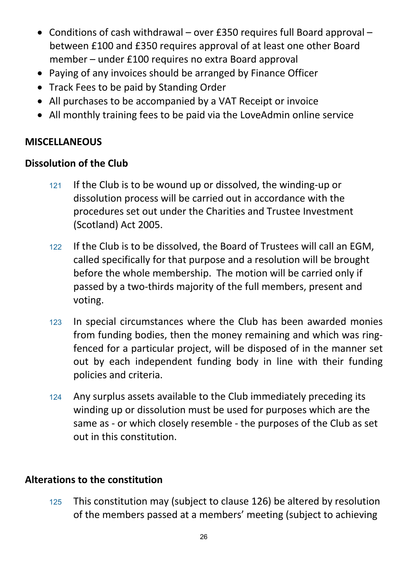- Conditions of cash withdrawal over £350 requires full Board approval between £100 and £350 requires approval of at least one other Board member – under £100 requires no extra Board approval
- Paying of any invoices should be arranged by Finance Officer
- Track Fees to be paid by Standing Order
- All purchases to be accompanied by a VAT Receipt or invoice
- All monthly training fees to be paid via the LoveAdmin online service

## **MISCELLANEOUS**

## **Dissolution of the Club**

- <sup>121</sup> If the Club is to be wound up or dissolved, the winding-up or dissolution process will be carried out in accordance with the procedures set out under the Charities and Trustee Investment (Scotland) Act 2005.
- <sup>122</sup> If the Club is to be dissolved, the Board of Trustees will call an EGM, called specifically for that purpose and a resolution will be brought before the whole membership. The motion will be carried only if passed by a two-thirds majority of the full members, present and voting.
- <sup>123</sup> In special circumstances where the Club has been awarded monies from funding bodies, then the money remaining and which was ringfenced for a particular project, will be disposed of in the manner set out by each independent funding body in line with their funding policies and criteria.
- 124 Any surplus assets available to the Club immediately preceding its winding up or dissolution must be used for purposes which are the same as - or which closely resemble - the purposes of the Club as set out in this constitution.

# **Alterations to the constitution**

<sup>125</sup> This constitution may (subject to clause 126) be altered by resolution of the members passed at a members' meeting (subject to achieving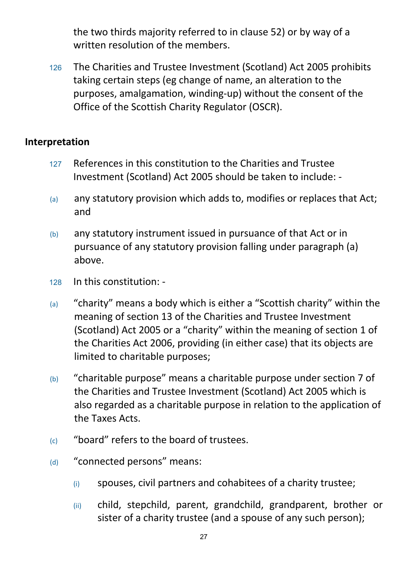the two thirds majority referred to in clause 52) or by way of a written resolution of the members.

<sup>126</sup> The Charities and Trustee Investment (Scotland) Act 2005 prohibits taking certain steps (eg change of name, an alteration to the purposes, amalgamation, winding-up) without the consent of the Office of the Scottish Charity Regulator (OSCR).

### **Interpretation**

- <sup>127</sup> References in this constitution to the Charities and Trustee Investment (Scotland) Act 2005 should be taken to include: -
- (a) any statutory provision which adds to, modifies or replaces that Act; and
- (b) any statutory instrument issued in pursuance of that Act or in pursuance of any statutory provision falling under paragraph (a) above.
- <sup>128</sup> In this constitution: -
- (a) "charity" means a body which is either a "Scottish charity" within the meaning of section 13 of the Charities and Trustee Investment (Scotland) Act 2005 or a "charity" within the meaning of section 1 of the Charities Act 2006, providing (in either case) that its objects are limited to charitable purposes;
- (b) "charitable purpose" means a charitable purpose under section 7 of the Charities and Trustee Investment (Scotland) Act 2005 which is also regarded as a charitable purpose in relation to the application of the Taxes Acts.
- (c) "board" refers to the board of trustees.
- (d) "connected persons" means:
	- (i) spouses, civil partners and cohabitees of a charity trustee;
	- (ii) child, stepchild, parent, grandchild, grandparent, brother or sister of a charity trustee (and a spouse of any such person);